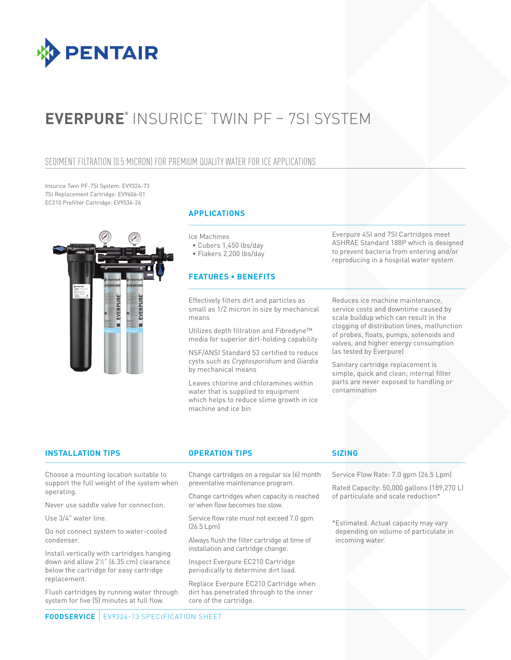

# **EVERPURE®** INSURICE® TWIN PF – 7SI SYSTEM

### SEDIMENT FILTRATION (0.5 MICRON) FOR PREMIUM QUALITY WATER FOR ICE APPLICATIONS

Insurice Twin PF-7SI System: EV9324-73 7SI Replacement Cartridge: EV9606-01 EC210 Prefilter Cartridge: EV9534-26



### **APPLICATIONS**

Ice Machines

• Cubers 1,450 lbs/day

• Flakers 2,200 lbs/day

### **FEATURES • BENEFITS**

Effectively filters dirt and particles as small as 1/2 micron in size by mechanical means

Utilizes depth filtration and Fibredyne™ media for superior dirt-holding capability

NSF/ANSI Standard 53 certified to reduce cysts such as *Cryptosporidium* and *Giardia* by mechanical means

Leaves chlorine and chloramines within water that is supplied to equipment which helps to reduce slime growth in ice machine and ice bin

Everpure 4SI and 7SI Cartridges meet ASHRAE Standard 188P which is designed to prevent bacteria from entering and/or reproducing in a hospital water system

Reduces ice machine maintenance, service costs and downtime caused by scale buildup which can result in the clogging of distribution lines, malfunction of probes, floats, pumps, solenoids and valves, and higher energy consumption (as tested by Everpure)

Sanitary cartridge replacement is simple, quick and clean; internal filter parts are never exposed to handling or contamination

### **INSTALLATION TIPS OPERATION TIPS SIZING**

Choose a mounting location suitable to support the full weight of the system when operating.

Never use saddle valve for connection.

Use 3/4" water line.

Do not connect system to water-cooled condenser.

Install vertically with cartridges hanging down and allow 21 ⁄2" (6.35 cm) clearance below the cartridge for easy cartridge replacement.

Flush cartridges by running water through system for five (5) minutes at full flow.

Change cartridges on a regular six (6) month preventative maintenance program.

Change cartridges when capacity is reached or when flow becomes too slow.

Service flow rate must not exceed 7.0 gpm (26.5 Lpm)

Always flush the filter cartridge at time of installation and cartridge change.

Inspect Everpure EC210 Cartridge periodically to determine dirt load.

Replace Everpure EC210 Cartridge when dirt has penetrated through to the inner core of the cartridge.

Service Flow Rate: 7.0 gpm (26.5 Lpm)

Rated Capacity: 50,000 gallons (189,270 L) of particulate and scale reduction\*

\*Estimated. Actual capacity may vary depending on volume of particulate in incoming water.